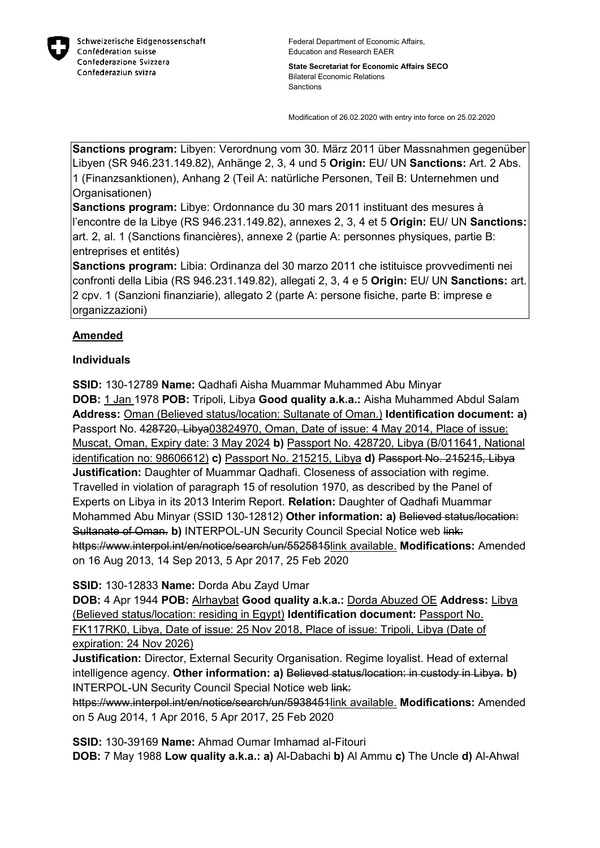

**State Secretariat for Economic Affairs SECO** Bilateral Economic Relations **Sanctions** 

Modification of 26.02.2020 with entry into force on 25.02.2020

**Sanctions program:** Libyen: Verordnung vom 30. März 2011 über Massnahmen gegenüber Libyen (SR 946.231.149.82), Anhänge 2, 3, 4 und 5 **Origin:** EU/ UN **Sanctions:** Art. 2 Abs. 1 (Finanzsanktionen), Anhang 2 (Teil A: natürliche Personen, Teil B: Unternehmen und Organisationen)

**Sanctions program:** Libye: Ordonnance du 30 mars 2011 instituant des mesures à l'encontre de la Libye (RS 946.231.149.82), annexes 2, 3, 4 et 5 **Origin:** EU/ UN **Sanctions:** art. 2, al. 1 (Sanctions financières), annexe 2 (partie A: personnes physiques, partie B: entreprises et entités)

**Sanctions program:** Libia: Ordinanza del 30 marzo 2011 che istituisce provvedimenti nei confronti della Libia (RS 946.231.149.82), allegati 2, 3, 4 e 5 **Origin:** EU/ UN **Sanctions:** art. 2 cpv. 1 (Sanzioni finanziarie), allegato 2 (parte A: persone fisiche, parte B: imprese e organizzazioni)

## **Amended**

## **Individuals**

**SSID:** 130-12789 **Name:** Qadhafi Aisha Muammar Muhammed Abu Minyar **DOB:** 1 Jan 1978 **POB:** Tripoli, Libya **Good quality a.k.a.:** Aisha Muhammed Abdul Salam **Address:** Oman (Believed status/location: Sultanate of Oman.) **Identification document: a)**  Passport No. 428720, Libya03824970, Oman, Date of issue: 4 May 2014, Place of issue: Muscat, Oman, Expiry date: 3 May 2024 **b)** Passport No. 428720, Libya (B/011641, National identification no: 98606612) **c)** Passport No. 215215, Libya **d)** Passport No. 215215, Libya **Justification:** Daughter of Muammar Qadhafi. Closeness of association with regime. Travelled in violation of paragraph 15 of resolution 1970, as described by the Panel of Experts on Libya in its 2013 Interim Report. **Relation:** Daughter of Qadhafi Muammar Mohammed Abu Minyar (SSID 130-12812) **Other information: a)** Believed status/location: Sultanate of Oman. **b)** INTERPOL-UN Security Council Special Notice web link: https://www.interpol.int/en/notice/search/un/5525815link available. **Modifications:** Amended on 16 Aug 2013, 14 Sep 2013, 5 Apr 2017, 25 Feb 2020

**SSID:** 130-12833 **Name:** Dorda Abu Zayd Umar

**DOB:** 4 Apr 1944 **POB:** Alrhaybat **Good quality a.k.a.:** Dorda Abuzed OE **Address:** Libya (Believed status/location: residing in Egypt) **Identification document:** Passport No. FK117RK0, Libya, Date of issue: 25 Nov 2018, Place of issue: Tripoli, Libya (Date of expiration: 24 Nov 2026)

**Justification:** Director, External Security Organisation. Regime loyalist. Head of external intelligence agency. **Other information: a)** Believed status/location: in custody in Libya. **b)**  INTERPOL-UN Security Council Special Notice web link:

https://www.interpol.int/en/notice/search/un/5938451link available. **Modifications:** Amended on 5 Aug 2014, 1 Apr 2016, 5 Apr 2017, 25 Feb 2020

**SSID:** 130-39169 **Name:** Ahmad Oumar Imhamad al-Fitouri **DOB:** 7 May 1988 **Low quality a.k.a.: a)** Al-Dabachi **b)** Al Ammu **c)** The Uncle **d)** Al-Ahwal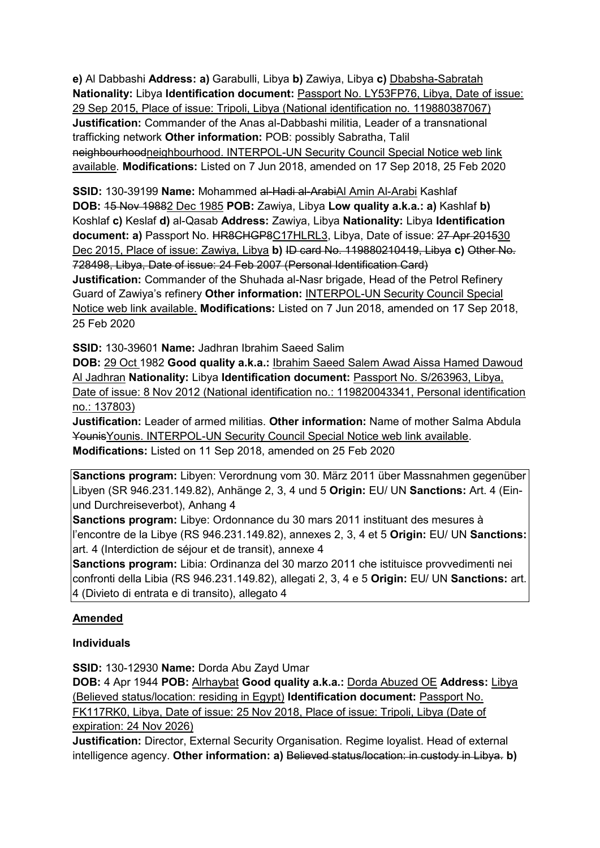**e)** Al Dabbashi **Address: a)** Garabulli, Libya **b)** Zawiya, Libya **c)** Dbabsha-Sabratah **Nationality:** Libya **Identification document:** Passport No. LY53FP76, Libya, Date of issue: 29 Sep 2015, Place of issue: Tripoli, Libya (National identification no. 119880387067) **Justification:** Commander of the Anas al-Dabbashi militia, Leader of a transnational trafficking network **Other information:** POB: possibly Sabratha, Talil neighbourhoodneighbourhood. INTERPOL-UN Security Council Special Notice web link available. **Modifications:** Listed on 7 Jun 2018, amended on 17 Sep 2018, 25 Feb 2020

**SSID:** 130-39199 **Name:** Mohammed al-Hadi al-ArabiAl Amin Al-Arabi Kashlaf **DOB:** 15 Nov 19882 Dec 1985 **POB:** Zawiya, Libya **Low quality a.k.a.: a)** Kashlaf **b)**  Koshlaf **c)** Keslaf **d)** al-Qasab **Address:** Zawiya, Libya **Nationality:** Libya **Identification document: a)** Passport No. HR8CHGP8C17HLRL3, Libya, Date of issue: 27 Apr 201530 Dec 2015, Place of issue: Zawiya, Libya **b)** ID card No. 119880210419, Libya **c)** Other No. 728498, Libya, Date of issue: 24 Feb 2007 (Personal Identification Card) **Justification:** Commander of the Shuhada al-Nasr brigade, Head of the Petrol Refinery Guard of Zawiya's refinery **Other information:** INTERPOL-UN Security Council Special Notice web link available. **Modifications:** Listed on 7 Jun 2018, amended on 17 Sep 2018, 25 Feb 2020

**SSID:** 130-39601 **Name:** Jadhran Ibrahim Saeed Salim

**DOB:** 29 Oct 1982 **Good quality a.k.a.:** Ibrahim Saeed Salem Awad Aissa Hamed Dawoud Al Jadhran **Nationality:** Libya **Identification document:** Passport No. S/263963, Libya, Date of issue: 8 Nov 2012 (National identification no.: 119820043341, Personal identification no.: 137803)

**Justification:** Leader of armed militias. **Other information:** Name of mother Salma Abdula YounisYounis. INTERPOL-UN Security Council Special Notice web link available. **Modifications:** Listed on 11 Sep 2018, amended on 25 Feb 2020

**Sanctions program:** Libyen: Verordnung vom 30. März 2011 über Massnahmen gegenüber Libyen (SR 946.231.149.82), Anhänge 2, 3, 4 und 5 **Origin:** EU/ UN **Sanctions:** Art. 4 (Einund Durchreiseverbot), Anhang 4

**Sanctions program:** Libye: Ordonnance du 30 mars 2011 instituant des mesures à l'encontre de la Libye (RS 946.231.149.82), annexes 2, 3, 4 et 5 **Origin:** EU/ UN **Sanctions:** art. 4 (Interdiction de séjour et de transit), annexe 4

**Sanctions program:** Libia: Ordinanza del 30 marzo 2011 che istituisce provvedimenti nei confronti della Libia (RS 946.231.149.82), allegati 2, 3, 4 e 5 **Origin:** EU/ UN **Sanctions:** art. 4 (Divieto di entrata e di transito), allegato 4

## **Amended**

## **Individuals**

**SSID:** 130-12930 **Name:** Dorda Abu Zayd Umar

**DOB:** 4 Apr 1944 **POB:** Alrhaybat **Good quality a.k.a.:** Dorda Abuzed OE **Address:** Libya (Believed status/location: residing in Egypt) **Identification document:** Passport No. FK117RK0, Libya, Date of issue: 25 Nov 2018, Place of issue: Tripoli, Libya (Date of expiration: 24 Nov 2026)

**Justification:** Director, External Security Organisation. Regime loyalist. Head of external intelligence agency. **Other information: a)** Believed status/location: in custody in Libya. **b)**